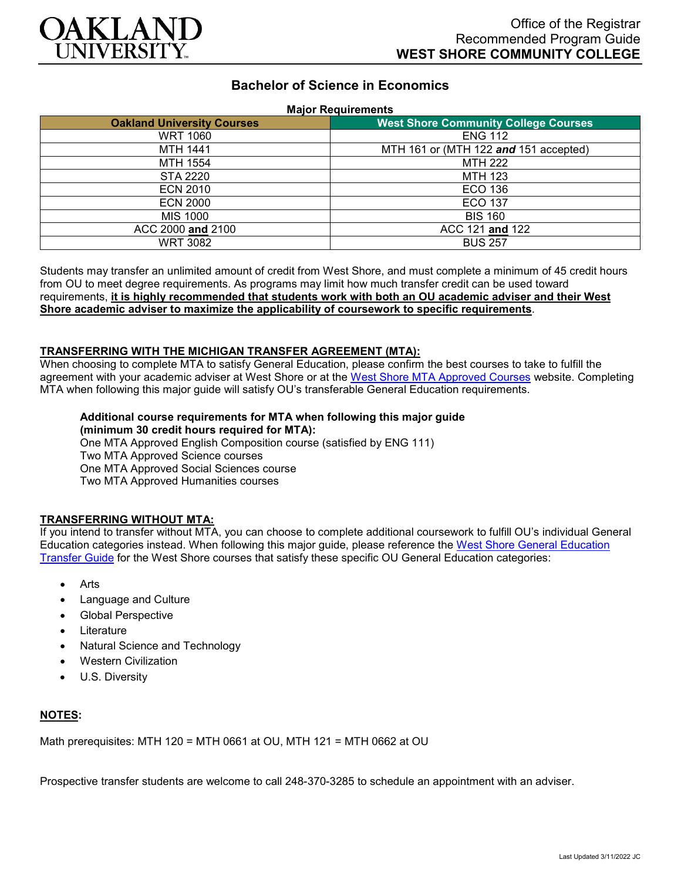

# **Bachelor of Science in Economics**

#### **Major Requirements**

| <b>Oakland University Courses</b> | <b>West Shore Community College Courses</b> |
|-----------------------------------|---------------------------------------------|
| <b>WRT 1060</b>                   | <b>ENG 112</b>                              |
| <b>MTH 1441</b>                   | MTH 161 or (MTH 122 and 151 accepted)       |
| MTH 1554                          | <b>MTH 222</b>                              |
| <b>STA 2220</b>                   | <b>MTH 123</b>                              |
| <b>ECN 2010</b>                   | <b>ECO 136</b>                              |
| <b>ECN 2000</b>                   | <b>ECO 137</b>                              |
| <b>MIS 1000</b>                   | <b>BIS 160</b>                              |
| ACC 2000 and 2100                 | ACC 121 and 122                             |
| <b>WRT 3082</b>                   | <b>BUS 257</b>                              |

Students may transfer an unlimited amount of credit from West Shore, and must complete a minimum of 45 credit hours from OU to meet degree requirements. As programs may limit how much transfer credit can be used toward requirements, **it is highly recommended that students work with both an OU academic adviser and their West Shore academic adviser to maximize the applicability of coursework to specific requirements**.

### **TRANSFERRING WITH THE MICHIGAN TRANSFER AGREEMENT (MTA):**

When choosing to complete MTA to satisfy General Education, please confirm the best courses to take to fulfill the agreement with your academic adviser at West Shore or at the [West Shore MTA Approved Courses](https://www.westshore.edu/admissions/transfer-students/) website. Completing MTA when following this major guide will satisfy OU's transferable General Education requirements.

#### **Additional course requirements for MTA when following this major guide (minimum 30 credit hours required for MTA):**

One MTA Approved English Composition course (satisfied by ENG 111) Two MTA Approved Science courses One MTA Approved Social Sciences course Two MTA Approved Humanities courses

# **TRANSFERRING WITHOUT MTA:**

If you intend to transfer without MTA, you can choose to complete additional coursework to fulfill OU's individual General Education categories instead. When following this major guide, please reference the [West Shore General Education](https://www.oakland.edu/Assets/Oakland/program-guides/west-shore-community-college/university-general-education-requirements/West%20Shore%20Gen%20Ed.pdf)  [Transfer Guide](https://www.oakland.edu/Assets/Oakland/program-guides/west-shore-community-college/university-general-education-requirements/West%20Shore%20Gen%20Ed.pdf) for the West Shore courses that satisfy these specific OU General Education categories:

- Arts
- Language and Culture
- Global Perspective
- **Literature**
- Natural Science and Technology
- Western Civilization
- U.S. Diversity

### **NOTES:**

Math prerequisites: MTH 120 = MTH 0661 at OU, MTH 121 = MTH 0662 at OU

Prospective transfer students are welcome to call 248-370-3285 to schedule an appointment with an adviser.